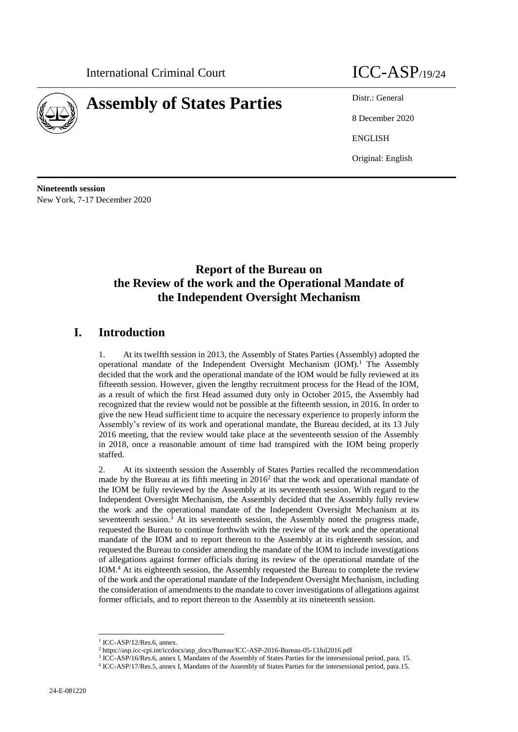

# **Assembly of States Parties** Distr.: General



8 December 2020 ENGLISH Original: English

**Nineteenth session** New York, 7-17 December 2020

## **Report of the Bureau on the Review of the work and the Operational Mandate of the Independent Oversight Mechanism**

## **I. Introduction**

1. At its twelfth session in 2013, the Assembly of States Parties (Assembly) adopted the operational mandate of the Independent Oversight Mechanism (IOM).<sup>1</sup> The Assembly decided that the work and the operational mandate of the IOM would be fully reviewed at its fifteenth session. However, given the lengthy recruitment process for the Head of the IOM, as a result of which the first Head assumed duty only in October 2015, the Assembly had recognized that the review would not be possible at the fifteenth session, in 2016. In order to give the new Head sufficient time to acquire the necessary experience to properly inform the Assembly's review of its work and operational mandate, the Bureau decided, at its 13 July 2016 meeting, that the review would take place at the seventeenth session of the Assembly in 2018, once a reasonable amount of time had transpired with the IOM being properly staffed.

2. At its sixteenth session the Assembly of States Parties recalled the recommendation made by the Bureau at its fifth meeting in  $2016<sup>2</sup>$  that the work and operational mandate of the IOM be fully reviewed by the Assembly at its seventeenth session. With regard to the Independent Oversight Mechanism, the Assembly decided that the Assembly fully review the work and the operational mandate of the Independent Oversight Mechanism at its seventeenth session.<sup>3</sup> At its seventeenth session, the Assembly noted the progress made, requested the Bureau to continue forthwith with the review of the work and the operational mandate of the IOM and to report thereon to the Assembly at its eighteenth session, and requested the Bureau to consider amending the mandate of the IOM to include investigations of allegations against former officials during its review of the operational mandate of the IOM.<sup>4</sup> At its eighteenth session, the Assembly requested the Bureau to complete the review of the work and the operational mandate of the Independent Oversight Mechanism, including the consideration of amendments to the mandate to cover investigations of allegations against former officials, and to report thereon to the Assembly at its nineteenth session.

<sup>1</sup> ICC-ASP/12/Res.6, annex.

<sup>2</sup> [https://asp.icc-cpi.int/iccdocs/asp\\_docs/Bureau/ICC-ASP-2016-Bureau-05-13Jul2016.pdf](https://asp.icc-cpi.int/iccdocs/asp_docs/Bureau/ICC-ASP-2016-Bureau-05-13Jul2016.pdf)

<sup>3</sup> ICC-ASP/16/Res.6, annex I, Mandates of the Assembly of States Parties for the intersessional period, para. 15.

<sup>4</sup> ICC-ASP/17/Res.5, annex I, Mandates of the Assembly of States Parties for the intersessional period, para.15.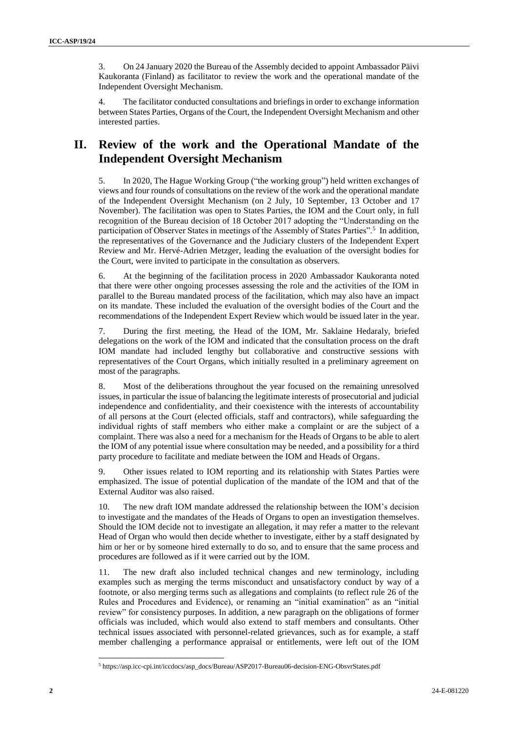3. On 24 January 2020 the Bureau of the Assembly decided to appoint Ambassador Päivi Kaukoranta (Finland) as facilitator to review the work and the operational mandate of the Independent Oversight Mechanism.

4. The facilitator conducted consultations and briefings in order to exchange information between States Parties, Organs of the Court, the Independent Oversight Mechanism and other interested parties.

## **II. Review of the work and the Operational Mandate of the Independent Oversight Mechanism**

5. In 2020, The Hague Working Group ("the working group") held written exchanges of views and four rounds of consultations on the review of the work and the operational mandate of the Independent Oversight Mechanism (on 2 July, 10 September, 13 October and 17 November). The facilitation was open to States Parties, the IOM and the Court only, in full recognition of the Bureau decision of 18 October 2017 adopting the "Understanding on the participation of Observer States in meetings of the Assembly of States Parties".<sup>5</sup> In addition, the representatives of the Governance and the Judiciary clusters of the Independent Expert Review and Mr. Hervé-Adrien Metzger, leading the evaluation of the oversight bodies for the Court, were invited to participate in the consultation as observers.

6. At the beginning of the facilitation process in 2020 Ambassador Kaukoranta noted that there were other ongoing processes assessing the role and the activities of the IOM in parallel to the Bureau mandated process of the facilitation, which may also have an impact on its mandate. These included the evaluation of the oversight bodies of the Court and the recommendations of the Independent Expert Review which would be issued later in the year.

7. During the first meeting, the Head of the IOM, Mr. Saklaine Hedaraly, briefed delegations on the work of the IOM and indicated that the consultation process on the draft IOM mandate had included lengthy but collaborative and constructive sessions with representatives of the Court Organs, which initially resulted in a preliminary agreement on most of the paragraphs.

8. Most of the deliberations throughout the year focused on the remaining unresolved issues, in particular the issue of balancing the legitimate interests of prosecutorial and judicial independence and confidentiality, and their coexistence with the interests of accountability of all persons at the Court (elected officials, staff and contractors), while safeguarding the individual rights of staff members who either make a complaint or are the subject of a complaint. There was also a need for a mechanism for the Heads of Organs to be able to alert the IOM of any potential issue where consultation may be needed, and a possibility for a third party procedure to facilitate and mediate between the IOM and Heads of Organs.

9. Other issues related to IOM reporting and its relationship with States Parties were emphasized. The issue of potential duplication of the mandate of the IOM and that of the External Auditor was also raised.

10. The new draft IOM mandate addressed the relationship between the IOM's decision to investigate and the mandates of the Heads of Organs to open an investigation themselves. Should the IOM decide not to investigate an allegation, it may refer a matter to the relevant Head of Organ who would then decide whether to investigate, either by a staff designated by him or her or by someone hired externally to do so, and to ensure that the same process and procedures are followed as if it were carried out by the IOM.

11. The new draft also included technical changes and new terminology, including examples such as merging the terms misconduct and unsatisfactory conduct by way of a footnote, or also merging terms such as allegations and complaints (to reflect rule 26 of the Rules and Procedures and Evidence), or renaming an "initial examination" as an "initial review" for consistency purposes. In addition, a new paragraph on the obligations of former officials was included, which would also extend to staff members and consultants. Other technical issues associated with personnel-related grievances, such as for example, a staff member challenging a performance appraisal or entitlements, were left out of the IOM

<sup>5</sup> https://asp.icc-cpi.int/iccdocs/asp\_docs/Bureau/ASP2017-Bureau06-decision-ENG-ObsvrStates.pdf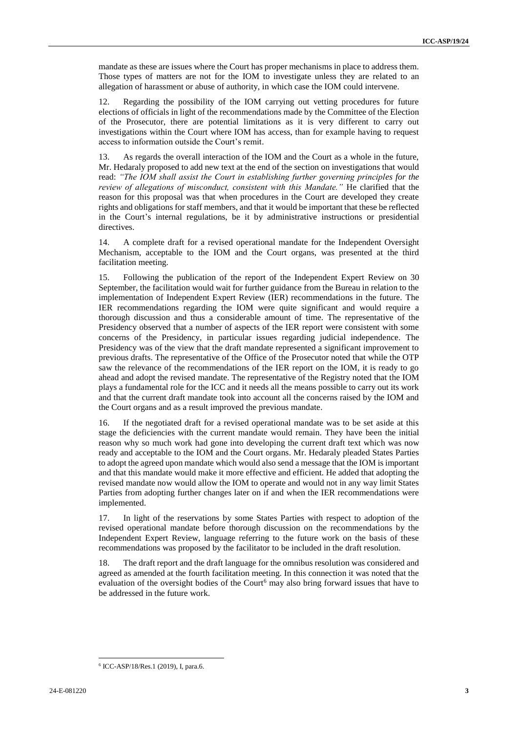mandate as these are issues where the Court has proper mechanisms in place to address them. Those types of matters are not for the IOM to investigate unless they are related to an allegation of harassment or abuse of authority, in which case the IOM could intervene.

12. Regarding the possibility of the IOM carrying out vetting procedures for future elections of officials in light of the recommendations made by the Committee of the Election of the Prosecutor, there are potential limitations as it is very different to carry out investigations within the Court where IOM has access, than for example having to request access to information outside the Court's remit.

13. As regards the overall interaction of the IOM and the Court as a whole in the future, Mr. Hedaraly proposed to add new text at the end of the section on investigations that would read: *"The IOM shall assist the Court in establishing further governing principles for the review of allegations of misconduct, consistent with this Mandate."* He clarified that the reason for this proposal was that when procedures in the Court are developed they create rights and obligations for staff members, and that it would be important that these be reflected in the Court's internal regulations, be it by administrative instructions or presidential directives.

14. A complete draft for a revised operational mandate for the Independent Oversight Mechanism, acceptable to the IOM and the Court organs, was presented at the third facilitation meeting.

15. Following the publication of the report of the Independent Expert Review on 30 September, the facilitation would wait for further guidance from the Bureau in relation to the implementation of Independent Expert Review (IER) recommendations in the future. The IER recommendations regarding the IOM were quite significant and would require a thorough discussion and thus a considerable amount of time. The representative of the Presidency observed that a number of aspects of the IER report were consistent with some concerns of the Presidency, in particular issues regarding judicial independence. The Presidency was of the view that the draft mandate represented a significant improvement to previous drafts. The representative of the Office of the Prosecutor noted that while the OTP saw the relevance of the recommendations of the IER report on the IOM, it is ready to go ahead and adopt the revised mandate. The representative of the Registry noted that the IOM plays a fundamental role for the ICC and it needs all the means possible to carry out its work and that the current draft mandate took into account all the concerns raised by the IOM and the Court organs and as a result improved the previous mandate.

16. If the negotiated draft for a revised operational mandate was to be set aside at this stage the deficiencies with the current mandate would remain. They have been the initial reason why so much work had gone into developing the current draft text which was now ready and acceptable to the IOM and the Court organs. Mr. Hedaraly pleaded States Parties to adopt the agreed upon mandate which would also send a message that the IOM is important and that this mandate would make it more effective and efficient. He added that adopting the revised mandate now would allow the IOM to operate and would not in any way limit States Parties from adopting further changes later on if and when the IER recommendations were implemented.

17. In light of the reservations by some States Parties with respect to adoption of the revised operational mandate before thorough discussion on the recommendations by the Independent Expert Review, language referring to the future work on the basis of these recommendations was proposed by the facilitator to be included in the draft resolution.

18. The draft report and the draft language for the omnibus resolution was considered and agreed as amended at the fourth facilitation meeting. In this connection it was noted that the evaluation of the oversight bodies of the Court<sup>6</sup> may also bring forward issues that have to be addressed in the future work.

<sup>6</sup> ICC-ASP/18/Res.1 (2019), I, para.6.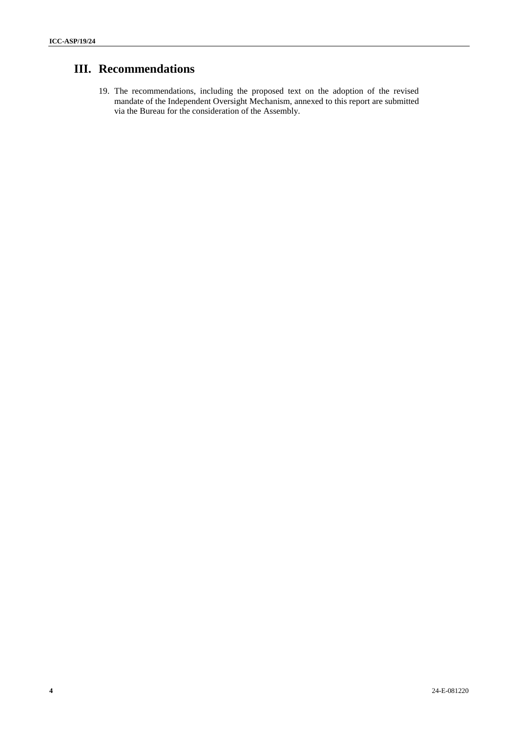## **III. Recommendations**

19. The recommendations, including the proposed text on the adoption of the revised mandate of the Independent Oversight Mechanism, annexed to this report are submitted via the Bureau for the consideration of the Assembly.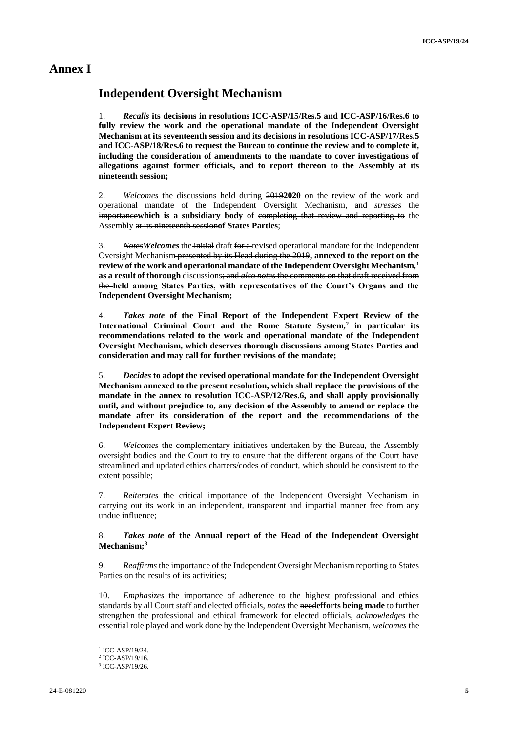## **Annex I**

## **Independent Oversight Mechanism**

1. *Recalls* **its decisions in resolutions ICC-ASP/15/Res.5 and ICC-ASP/16/Res.6 to fully review the work and the operational mandate of the Independent Oversight Mechanism at its seventeenth session and its decisions in resolutions ICC-ASP/17/Res.5 and ICC-ASP/18/Res.6 to request the Bureau to continue the review and to complete it, including the consideration of amendments to the mandate to cover investigations of allegations against former officials, and to report thereon to the Assembly at its nineteenth session;**

2. *Welcomes* the discussions held during 2019**2020** on the review of the work and operational mandate of the Independent Oversight Mechanism, and *stresses* the importance**which is a subsidiary body** of completing that review and reporting to the Assembly at its nineteenth session**of States Parties**;

3. *NotesWelcomes* the initial draft for a revised operational mandate for the Independent Oversight Mechanism presented by its Head during the 2019**, annexed to the report on the review of the work and operational mandate of the Independent Oversight Mechanism,<sup>1</sup> as a result of thorough** discussions; and *also notes* the comments on that draft received from the **held among States Parties, with representatives of the Court's Organs and the Independent Oversight Mechanism;**

4. *Takes note* **of the Final Report of the Independent Expert Review of the International Criminal Court and the Rome Statute System,<sup>2</sup> in particular its recommendations related to the work and operational mandate of the Independent Oversight Mechanism, which deserves thorough discussions among States Parties and consideration and may call for further revisions of the mandate;**

5. *Decides* **to adopt the revised operational mandate for the Independent Oversight Mechanism annexed to the present resolution, which shall replace the provisions of the mandate in the annex to resolution ICC-ASP/12/Res.6, and shall apply provisionally until, and without prejudice to, any decision of the Assembly to amend or replace the mandate after its consideration of the report and the recommendations of the Independent Expert Review;**

6. *Welcomes* the complementary initiatives undertaken by the Bureau, the Assembly oversight bodies and the Court to try to ensure that the different organs of the Court have streamlined and updated ethics charters/codes of conduct, which should be consistent to the extent possible;

7. *Reiterates* the critical importance of the Independent Oversight Mechanism in carrying out its work in an independent, transparent and impartial manner free from any undue influence;

### 8. *Takes note* **of the Annual report of the Head of the Independent Oversight Mechanism;<sup>3</sup>**

9. *Reaffirms* the importance of the Independent Oversight Mechanism reporting to States Parties on the results of its activities;

10. *Emphasizes* the importance of adherence to the highest professional and ethics standards by all Court staff and elected officials, *notes* the need**efforts being made** to further strengthen the professional and ethical framework for elected officials, *acknowledges* the essential role played and work done by the Independent Oversight Mechanism, *welcomes* the

<sup>1</sup> ICC-ASP/19/24.

<sup>2</sup> ICC-ASP/19/16.

<sup>3</sup> ICC-ASP/19/26.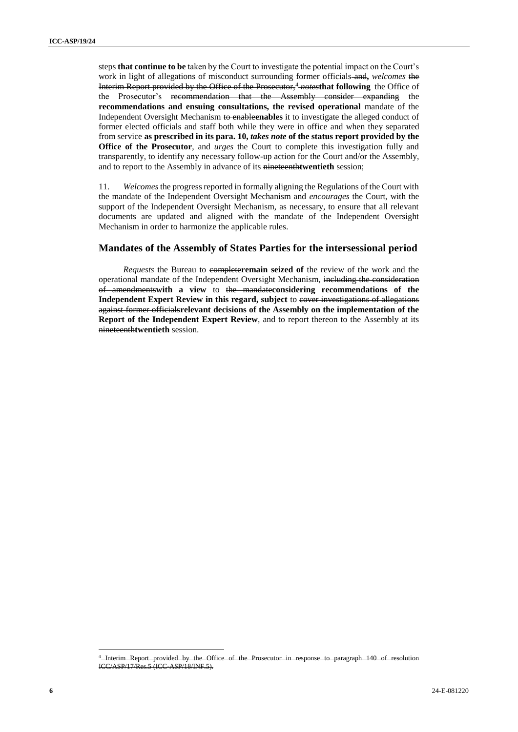steps **that continue to be** taken by the Court to investigate the potential impact on the Court's work in light of allegations of misconduct surrounding former officials and**,** *welcomes* the Interim Report provided by the Office of the Prosecutor,<sup>4</sup> *notes* that following the Office of the Prosecutor's recommendation that the Assembly consider expanding the **recommendations and ensuing consultations, the revised operational** mandate of the Independent Oversight Mechanism to enable**enables** it to investigate the alleged conduct of former elected officials and staff both while they were in office and when they separated from service **as prescribed in its para. 10,** *takes note* **of the status report provided by the Office of the Prosecutor**, and *urges* the Court to complete this investigation fully and transparently, to identify any necessary follow-up action for the Court and/or the Assembly, and to report to the Assembly in advance of its nineteenth**twentieth** session;

11. *Welcomes* the progress reported in formally aligning the Regulations of the Court with the mandate of the Independent Oversight Mechanism and *encourages* the Court, with the support of the Independent Oversight Mechanism, as necessary, to ensure that all relevant documents are updated and aligned with the mandate of the Independent Oversight Mechanism in order to harmonize the applicable rules.

## **Mandates of the Assembly of States Parties for the intersessional period**

*Requests* the Bureau to completeremain seized of the review of the work and the operational mandate of the Independent Oversight Mechanism, including the consideration of amendments**with a view** to the mandate**considering recommendations of the Independent Expert Review in this regard, subject** to cover investigations of allegations against former officials**relevant decisions of the Assembly on the implementation of the Report of the Independent Expert Review**, and to report thereon to the Assembly at its nineteenth**twentieth** session.

<sup>4</sup> Interim Report provided by the Office of the Prosecutor in response to paragraph 140 of resolution ICC/ASP/17/Res.5 (ICC-ASP/18/INF.5).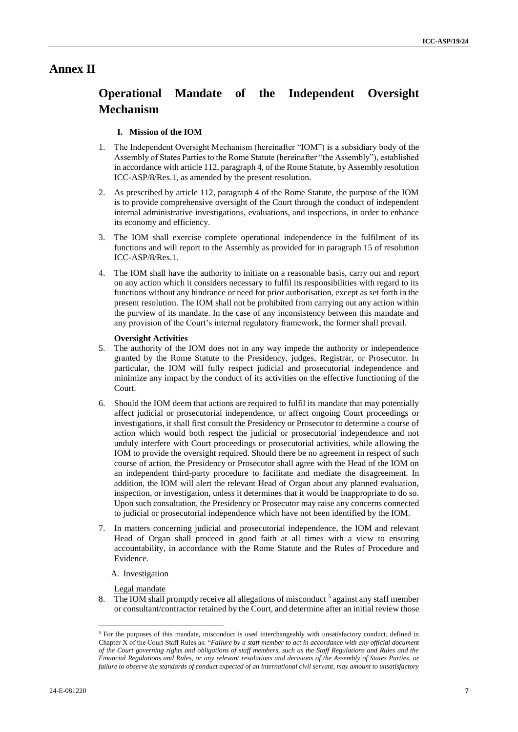## **Annex II**

## **Operational Mandate of the Independent Oversight Mechanism**

## **I. Mission of the IOM**

- 1. The Independent Oversight Mechanism (hereinafter "IOM") is a subsidiary body of the Assembly of States Parties to the Rome Statute (hereinafter "the Assembly"), established in accordance with article 112, paragraph 4, of the Rome Statute, by Assembly resolution ICC-ASP/8/Res.1, as amended by the present resolution.
- 2. As prescribed by article 112, paragraph 4 of the Rome Statute, the purpose of the IOM is to provide comprehensive oversight of the Court through the conduct of independent internal administrative investigations, evaluations, and inspections, in order to enhance its economy and efficiency.
- 3. The IOM shall exercise complete operational independence in the fulfilment of its functions and will report to the Assembly as provided for in paragraph 15 of resolution ICC-ASP/8/Res.1.
- 4. The IOM shall have the authority to initiate on a reasonable basis, carry out and report on any action which it considers necessary to fulfil its responsibilities with regard to its functions without any hindrance or need for prior authorisation, except as set forth in the present resolution. The IOM shall not be prohibited from carrying out any action within the purview of its mandate. In the case of any inconsistency between this mandate and any provision of the Court's internal regulatory framework, the former shall prevail.

### **Oversight Activities**

- 5. The authority of the IOM does not in any way impede the authority or independence granted by the Rome Statute to the Presidency, judges, Registrar, or Prosecutor. In particular, the IOM will fully respect judicial and prosecutorial independence and minimize any impact by the conduct of its activities on the effective functioning of the Court.
- 6. Should the IOM deem that actions are required to fulfil its mandate that may potentially affect judicial or prosecutorial independence, or affect ongoing Court proceedings or investigations, it shall first consult the Presidency or Prosecutor to determine a course of action which would both respect the judicial or prosecutorial independence and not unduly interfere with Court proceedings or prosecutorial activities, while allowing the IOM to provide the oversight required. Should there be no agreement in respect of such course of action, the Presidency or Prosecutor shall agree with the Head of the IOM on an independent third-party procedure to facilitate and mediate the disagreement. In addition, the IOM will alert the relevant Head of Organ about any planned evaluation, inspection, or investigation, unless it determines that it would be inappropriate to do so. Upon such consultation, the Presidency or Prosecutor may raise any concerns connected to judicial or prosecutorial independence which have not been identified by the IOM.
- 7. In matters concerning judicial and prosecutorial independence, the IOM and relevant Head of Organ shall proceed in good faith at all times with a view to ensuring accountability, in accordance with the Rome Statute and the Rules of Procedure and Evidence.
	- A. Investigation

Legal mandate

8. The IOM shall promptly receive all allegations of misconduct<sup>5</sup> against any staff member or consultant/contractor retained by the Court, and determine after an initial review those

<sup>&</sup>lt;sup>5</sup> For the purposes of this mandate, misconduct is used interchangeably with unsatisfactory conduct, defined in Chapter X of the Court Staff Rules as: "*Failure by a staff member to act in accordance with any official document of the Court governing rights and obligations of staff members, such as the Staff Regulations and Rules and the Financial Regulations and Rules, or any relevant resolutions and decisions of the Assembly of States Parties, or failure to observe the standards of conduct expected of an international civil servant, may amount to unsatisfactory*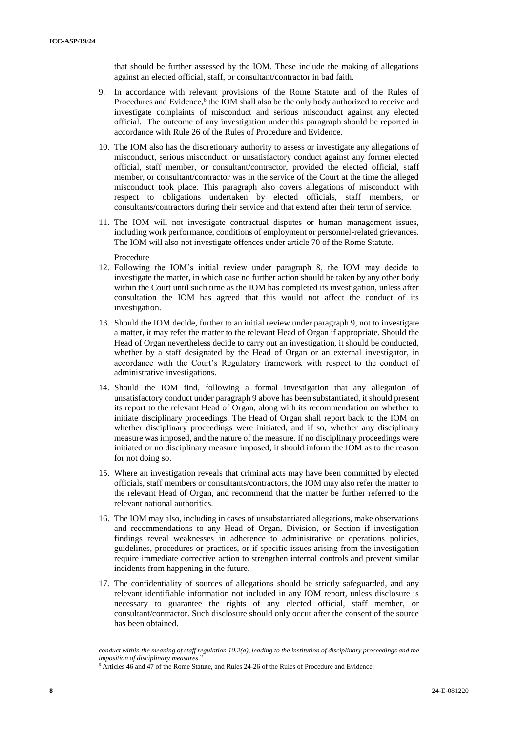that should be further assessed by the IOM. These include the making of allegations against an elected official, staff, or consultant/contractor in bad faith.

- 9. In accordance with relevant provisions of the Rome Statute and of the Rules of Procedures and Evidence,<sup>6</sup> the IOM shall also be the only body authorized to receive and investigate complaints of misconduct and serious misconduct against any elected official. The outcome of any investigation under this paragraph should be reported in accordance with Rule 26 of the Rules of Procedure and Evidence.
- 10. The IOM also has the discretionary authority to assess or investigate any allegations of misconduct, serious misconduct, or unsatisfactory conduct against any former elected official, staff member, or consultant/contractor, provided the elected official, staff member, or consultant/contractor was in the service of the Court at the time the alleged misconduct took place. This paragraph also covers allegations of misconduct with respect to obligations undertaken by elected officials, staff members, or consultants/contractors during their service and that extend after their term of service.
- 11. The IOM will not investigate contractual disputes or human management issues, including work performance, conditions of employment or personnel-related grievances. The IOM will also not investigate offences under article 70 of the Rome Statute.

#### Procedure

- 12. Following the IOM's initial review under paragraph 8, the IOM may decide to investigate the matter, in which case no further action should be taken by any other body within the Court until such time as the IOM has completed its investigation, unless after consultation the IOM has agreed that this would not affect the conduct of its investigation.
- 13. Should the IOM decide, further to an initial review under paragraph 9, not to investigate a matter, it may refer the matter to the relevant Head of Organ if appropriate. Should the Head of Organ nevertheless decide to carry out an investigation, it should be conducted, whether by a staff designated by the Head of Organ or an external investigator, in accordance with the Court's Regulatory framework with respect to the conduct of administrative investigations.
- 14. Should the IOM find, following a formal investigation that any allegation of unsatisfactory conduct under paragraph 9 above has been substantiated, it should present its report to the relevant Head of Organ, along with its recommendation on whether to initiate disciplinary proceedings. The Head of Organ shall report back to the IOM on whether disciplinary proceedings were initiated, and if so, whether any disciplinary measure was imposed, and the nature of the measure. If no disciplinary proceedings were initiated or no disciplinary measure imposed, it should inform the IOM as to the reason for not doing so.
- 15. Where an investigation reveals that criminal acts may have been committed by elected officials, staff members or consultants/contractors, the IOM may also refer the matter to the relevant Head of Organ, and recommend that the matter be further referred to the relevant national authorities.
- 16. The IOM may also, including in cases of unsubstantiated allegations, make observations and recommendations to any Head of Organ, Division, or Section if investigation findings reveal weaknesses in adherence to administrative or operations policies, guidelines, procedures or practices, or if specific issues arising from the investigation require immediate corrective action to strengthen internal controls and prevent similar incidents from happening in the future.
- 17. The confidentiality of sources of allegations should be strictly safeguarded, and any relevant identifiable information not included in any IOM report, unless disclosure is necessary to guarantee the rights of any elected official, staff member, or consultant/contractor. Such disclosure should only occur after the consent of the source has been obtained.

*conduct within the meaning of staff regulation 10.2(a), leading to the institution of disciplinary proceedings and the imposition of disciplinary measures*."

<sup>6</sup> Articles 46 and 47 of the Rome Statute, and Rules 24-26 of the Rules of Procedure and Evidence.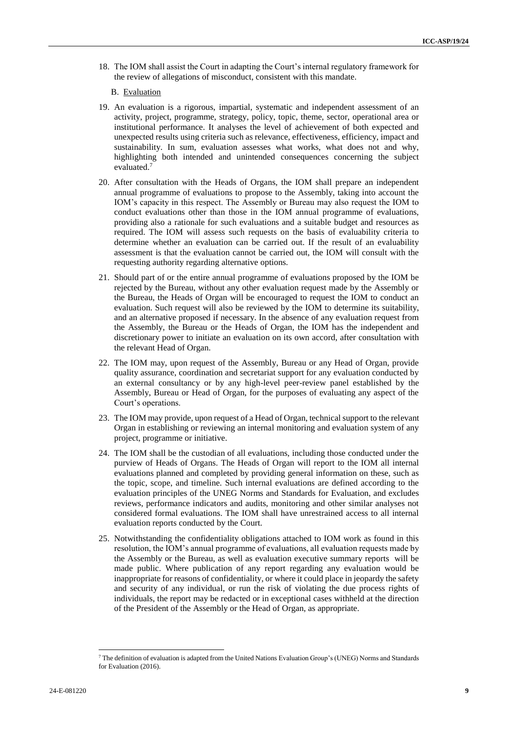18. The IOM shall assist the Court in adapting the Court's internal regulatory framework for the review of allegations of misconduct, consistent with this mandate.

### B. Evaluation

- 19. An evaluation is a rigorous, impartial, systematic and independent assessment of an activity, project, programme, strategy, policy, topic, theme, sector, operational area or institutional performance. It analyses the level of achievement of both expected and unexpected results using criteria such as relevance, effectiveness, efficiency, impact and sustainability. In sum, evaluation assesses what works, what does not and why, highlighting both intended and unintended consequences concerning the subject evaluated.<sup>7</sup>
- 20. After consultation with the Heads of Organs, the IOM shall prepare an independent annual programme of evaluations to propose to the Assembly, taking into account the IOM's capacity in this respect. The Assembly or Bureau may also request the IOM to conduct evaluations other than those in the IOM annual programme of evaluations, providing also a rationale for such evaluations and a suitable budget and resources as required. The IOM will assess such requests on the basis of evaluability criteria to determine whether an evaluation can be carried out. If the result of an evaluability assessment is that the evaluation cannot be carried out, the IOM will consult with the requesting authority regarding alternative options.
- 21. Should part of or the entire annual programme of evaluations proposed by the IOM be rejected by the Bureau, without any other evaluation request made by the Assembly or the Bureau, the Heads of Organ will be encouraged to request the IOM to conduct an evaluation. Such request will also be reviewed by the IOM to determine its suitability, and an alternative proposed if necessary. In the absence of any evaluation request from the Assembly, the Bureau or the Heads of Organ, the IOM has the independent and discretionary power to initiate an evaluation on its own accord, after consultation with the relevant Head of Organ.
- 22. The IOM may, upon request of the Assembly, Bureau or any Head of Organ, provide quality assurance, coordination and secretariat support for any evaluation conducted by an external consultancy or by any high-level peer-review panel established by the Assembly, Bureau or Head of Organ, for the purposes of evaluating any aspect of the Court's operations.
- 23. The IOM may provide, upon request of a Head of Organ, technical support to the relevant Organ in establishing or reviewing an internal monitoring and evaluation system of any project, programme or initiative.
- 24. The IOM shall be the custodian of all evaluations, including those conducted under the purview of Heads of Organs. The Heads of Organ will report to the IOM all internal evaluations planned and completed by providing general information on these, such as the topic, scope, and timeline. Such internal evaluations are defined according to the evaluation principles of the UNEG Norms and Standards for Evaluation, and excludes reviews, performance indicators and audits, monitoring and other similar analyses not considered formal evaluations. The IOM shall have unrestrained access to all internal evaluation reports conducted by the Court.
- 25. Notwithstanding the confidentiality obligations attached to IOM work as found in this resolution, the IOM's annual programme of evaluations, all evaluation requests made by the Assembly or the Bureau, as well as evaluation executive summary reports will be made public. Where publication of any report regarding any evaluation would be inappropriate for reasons of confidentiality, or where it could place in jeopardy the safety and security of any individual, or run the risk of violating the due process rights of individuals, the report may be redacted or in exceptional cases withheld at the direction of the President of the Assembly or the Head of Organ, as appropriate.

<sup>7</sup> The definition of evaluation is adapted from the United Nations Evaluation Group's (UNEG) Norms and Standards for Evaluation (2016).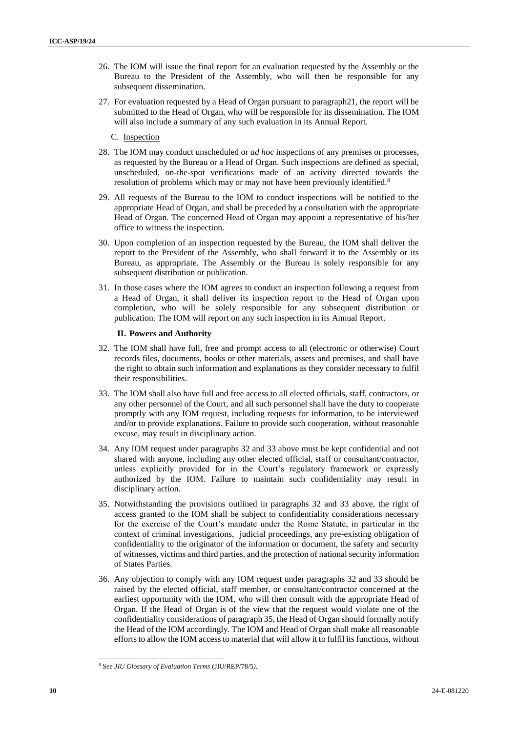- 26. The IOM will issue the final report for an evaluation requested by the Assembly or the Bureau to the President of the Assembly, who will then be responsible for any subsequent dissemination.
- 27. For evaluation requested by a Head of Organ pursuant to paragraph21, the report will be submitted to the Head of Organ, who will be responsible for its dissemination. The IOM will also include a summary of any such evaluation in its Annual Report.
	- C. Inspection
- 28. The IOM may conduct unscheduled or *ad hoc* inspections of any premises or processes, as requested by the Bureau or a Head of Organ. Such inspections are defined as special, unscheduled, on-the-spot verifications made of an activity directed towards the resolution of problems which may or may not have been previously identified.<sup>8</sup>
- 29. All requests of the Bureau to the IOM to conduct inspections will be notified to the appropriate Head of Organ, and shall be preceded by a consultation with the appropriate Head of Organ. The concerned Head of Organ may appoint a representative of his/her office to witness the inspection.
- 30. Upon completion of an inspection requested by the Bureau, the IOM shall deliver the report to the President of the Assembly, who shall forward it to the Assembly or its Bureau, as appropriate. The Assembly or the Bureau is solely responsible for any subsequent distribution or publication.
- 31. In those cases where the IOM agrees to conduct an inspection following a request from a Head of Organ, it shall deliver its inspection report to the Head of Organ upon completion, who will be solely responsible for any subsequent distribution or publication. The IOM will report on any such inspection in its Annual Report.

### **II. Powers and Authority**

- 32. The IOM shall have full, free and prompt access to all (electronic or otherwise) Court records files, documents, books or other materials, assets and premises, and shall have the right to obtain such information and explanations as they consider necessary to fulfil their responsibilities.
- 33. The IOM shall also have full and free access to all elected officials, staff, contractors, or any other personnel of the Court, and all such personnel shall have the duty to cooperate promptly with any IOM request, including requests for information, to be interviewed and/or to provide explanations. Failure to provide such cooperation, without reasonable excuse, may result in disciplinary action.
- 34. Any IOM request under paragraphs 32 and 33 above must be kept confidential and not shared with anyone, including any other elected official, staff or consultant/contractor, unless explicitly provided for in the Court's regulatory framework or expressly authorized by the IOM. Failure to maintain such confidentiality may result in disciplinary action.
- 35. Notwithstanding the provisions outlined in paragraphs 32 and 33 above, the right of access granted to the IOM shall be subject to confidentiality considerations necessary for the exercise of the Court's mandate under the Rome Statute, in particular in the context of criminal investigations, judicial proceedings, any pre-existing obligation of confidentiality to the originator of the information or document, the safety and security of witnesses, victims and third parties, and the protection of national security information of States Parties.
- 36. Any objection to comply with any IOM request under paragraphs 32 and 33 should be raised by the elected official, staff member, or consultant/contractor concerned at the earliest opportunity with the IOM, who will then consult with the appropriate Head of Organ. If the Head of Organ is of the view that the request would violate one of the confidentiality considerations of paragraph 35, the Head of Organ should formally notify the Head of the IOM accordingly. The IOM and Head of Organ shall make all reasonable efforts to allow the IOM access to material that will allow it to fulfil its functions, without

<sup>8</sup> See *JIU Glossary of Evaluation Terms* (JIU/REP/78/5*)*.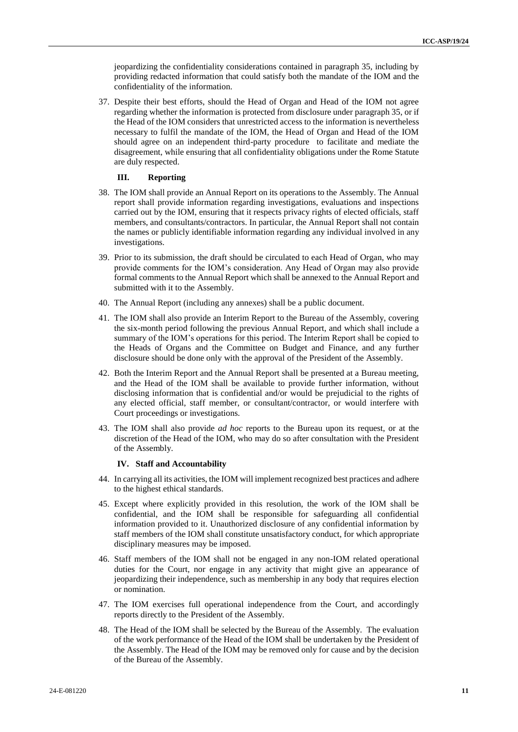jeopardizing the confidentiality considerations contained in paragraph 35, including by providing redacted information that could satisfy both the mandate of the IOM and the confidentiality of the information.

37. Despite their best efforts, should the Head of Organ and Head of the IOM not agree regarding whether the information is protected from disclosure under paragraph 35, or if the Head of the IOM considers that unrestricted access to the information is nevertheless necessary to fulfil the mandate of the IOM, the Head of Organ and Head of the IOM should agree on an independent third-party procedure to facilitate and mediate the disagreement, while ensuring that all confidentiality obligations under the Rome Statute are duly respected.

### **III. Reporting**

- 38. The IOM shall provide an Annual Report on its operations to the Assembly. The Annual report shall provide information regarding investigations, evaluations and inspections carried out by the IOM, ensuring that it respects privacy rights of elected officials, staff members, and consultants/contractors. In particular, the Annual Report shall not contain the names or publicly identifiable information regarding any individual involved in any investigations.
- 39. Prior to its submission, the draft should be circulated to each Head of Organ, who may provide comments for the IOM's consideration. Any Head of Organ may also provide formal comments to the Annual Report which shall be annexed to the Annual Report and submitted with it to the Assembly.
- 40. The Annual Report (including any annexes) shall be a public document.
- 41. The IOM shall also provide an Interim Report to the Bureau of the Assembly, covering the six-month period following the previous Annual Report, and which shall include a summary of the IOM's operations for this period. The Interim Report shall be copied to the Heads of Organs and the Committee on Budget and Finance, and any further disclosure should be done only with the approval of the President of the Assembly.
- 42. Both the Interim Report and the Annual Report shall be presented at a Bureau meeting, and the Head of the IOM shall be available to provide further information, without disclosing information that is confidential and/or would be prejudicial to the rights of any elected official, staff member, or consultant/contractor, or would interfere with Court proceedings or investigations.
- 43. The IOM shall also provide *ad hoc* reports to the Bureau upon its request, or at the discretion of the Head of the IOM, who may do so after consultation with the President of the Assembly.

### **IV. Staff and Accountability**

- 44. In carrying all its activities, the IOM will implement recognized best practices and adhere to the highest ethical standards.
- 45. Except where explicitly provided in this resolution, the work of the IOM shall be confidential, and the IOM shall be responsible for safeguarding all confidential information provided to it. Unauthorized disclosure of any confidential information by staff members of the IOM shall constitute unsatisfactory conduct, for which appropriate disciplinary measures may be imposed.
- 46. Staff members of the IOM shall not be engaged in any non-IOM related operational duties for the Court, nor engage in any activity that might give an appearance of jeopardizing their independence, such as membership in any body that requires election or nomination.
- 47. The IOM exercises full operational independence from the Court, and accordingly reports directly to the President of the Assembly.
- 48. The Head of the IOM shall be selected by the Bureau of the Assembly. The evaluation of the work performance of the Head of the IOM shall be undertaken by the President of the Assembly. The Head of the IOM may be removed only for cause and by the decision of the Bureau of the Assembly.